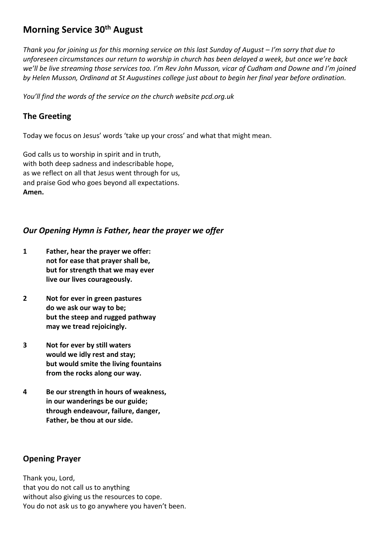# **Morning Service 30th August**

*Thank you for joining us for this morning service on this last Sunday of August – I'm sorry that due to unforeseen circumstances our return to worship in church has been delayed a week, but once we're back we'll be live streaming those services too. I'm Rev John Musson, vicar of Cudham and Downe and I'm joined by Helen Musson, Ordinand at St Augustines college just about to begin her final year before ordination.* 

*You'll find the words of the service on the church website pcd.org.uk* 

### **The Greeting**

Today we focus on Jesus' words 'take up your cross' and what that might mean.

God calls us to worship in spirit and in truth, with both deep sadness and indescribable hope, as we reflect on all that Jesus went through for us, and praise God who goes beyond all expectations. **Amen.**

#### *Our Opening Hymn is Father, hear the prayer we offer*

- **1 Father, hear the prayer we offer: not for ease that prayer shall be, but for strength that we may ever live our lives courageously.**
- **2 Not for ever in green pastures do we ask our way to be; but the steep and rugged pathway may we tread rejoicingly.**
- **3 Not for ever by still waters would we idly rest and stay; but would smite the living fountains from the rocks along our way.**
- **4 Be our strength in hours of weakness, in our wanderings be our guide; through endeavour, failure, danger, Father, be thou at our side.**

## **Opening Prayer**

Thank you, Lord, that you do not call us to anything without also giving us the resources to cope. You do not ask us to go anywhere you haven't been.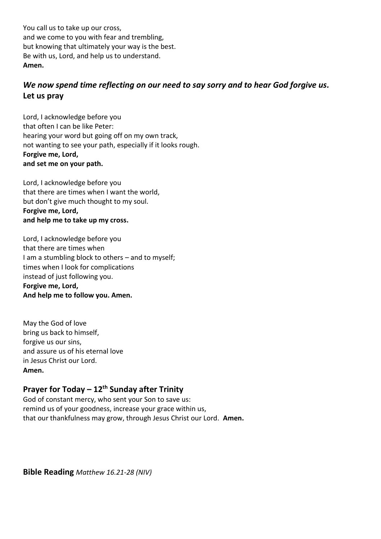You call us to take up our cross, and we come to you with fear and trembling, but knowing that ultimately your way is the best. Be with us, Lord, and help us to understand. **Amen.**

## *We now spend time reflecting on our need to say sorry and to hear God forgive us.* **Let us pray**

Lord, I acknowledge before you that often I can be like Peter: hearing your word but going off on my own track, not wanting to see your path, especially if it looks rough. **Forgive me, Lord, and set me on your path.**

Lord, I acknowledge before you that there are times when I want the world, but don't give much thought to my soul. **Forgive me, Lord, and help me to take up my cross.**

Lord, I acknowledge before you that there are times when I am a stumbling block to others – and to myself; times when I look for complications instead of just following you. **Forgive me, Lord, And help me to follow you. Amen.**

May the God of love bring us back to himself, forgive us our sins, and assure us of his eternal love in Jesus Christ our Lord. **Amen.**

## **Prayer for Today – 12th Sunday after Trinity**

God of constant mercy, who sent your Son to save us: remind us of your goodness, increase your grace within us, that our thankfulness may grow, through Jesus Christ our Lord. **Amen.**

**Bible Reading** *Matthew 16.21-28 (NIV)*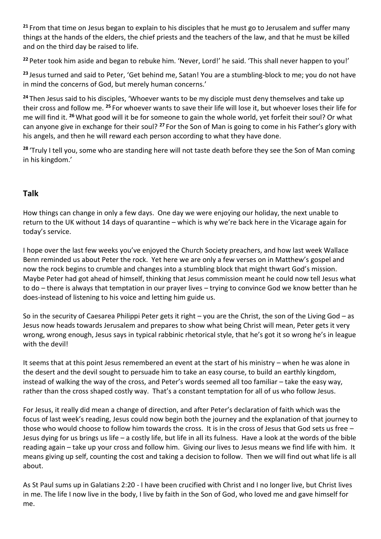**<sup>21</sup>** From that time on Jesus began to explain to his disciples that he must go to Jerusalem and suffer many things at the hands of the elders, the chief priests and the teachers of the law, and that he must be killed and on the third day be raised to life.

**<sup>22</sup>** Peter took him aside and began to rebuke him. 'Never, Lord!' he said. 'This shall never happen to you!'

**<sup>23</sup>** Jesus turned and said to Peter, 'Get behind me, Satan! You are a stumbling-block to me; you do not have in mind the concerns of God, but merely human concerns.'

**<sup>24</sup>** Then Jesus said to his disciples, 'Whoever wants to be my disciple must deny themselves and take up their cross and follow me. **<sup>25</sup>** For whoever wants to save their life will lose it, but whoever loses their life for me will find it. **<sup>26</sup>** What good will it be for someone to gain the whole world, yet forfeit their soul? Or what can anyone give in exchange for their soul? **<sup>27</sup>** For the Son of Man is going to come in his Father's glory with his angels, and then he will reward each person according to what they have done.

**<sup>28</sup>** 'Truly I tell you, some who are standing here will not taste death before they see the Son of Man coming in his kingdom.'

## **Talk**

How things can change in only a few days. One day we were enjoying our holiday, the next unable to return to the UK without 14 days of quarantine – which is why we're back here in the Vicarage again for today's service.

I hope over the last few weeks you've enjoyed the Church Society preachers, and how last week Wallace Benn reminded us about Peter the rock. Yet here we are only a few verses on in Matthew's gospel and now the rock begins to crumble and changes into a stumbling block that might thwart God's mission. Maybe Peter had got ahead of himself, thinking that Jesus commission meant he could now tell Jesus what to do – there is always that temptation in our prayer lives – trying to convince God we know better than he does-instead of listening to his voice and letting him guide us.

So in the security of Caesarea Philippi Peter gets it right – you are the Christ, the son of the Living God – as Jesus now heads towards Jerusalem and prepares to show what being Christ will mean, Peter gets it very wrong, wrong enough, Jesus says in typical rabbinic rhetorical style, that he's got it so wrong he's in league with the devil!

It seems that at this point Jesus remembered an event at the start of his ministry – when he was alone in the desert and the devil sought to persuade him to take an easy course, to build an earthly kingdom, instead of walking the way of the cross, and Peter's words seemed all too familiar – take the easy way, rather than the cross shaped costly way. That's a constant temptation for all of us who follow Jesus.

For Jesus, it really did mean a change of direction, and after Peter's declaration of faith which was the focus of last week's reading, Jesus could now begin both the journey and the explanation of that journey to those who would choose to follow him towards the cross. It is in the cross of Jesus that God sets us free – Jesus dying for us brings us life – a costly life, but life in all its fulness. Have a look at the words of the bible reading again – take up your cross and follow him. Giving our lives to Jesus means we find life with him. It means giving up self, counting the cost and taking a decision to follow. Then we will find out what life is all about.

As St Paul sums up in Galatians 2:20 - I have been crucified with Christ and I no longer live, but Christ lives in me. The life I now live in the body, I live by faith in the Son of God, who loved me and gave himself for me.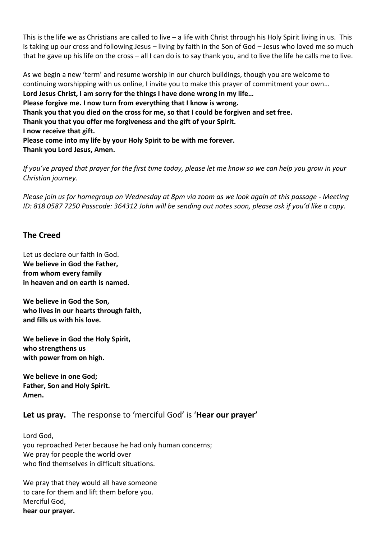This is the life we as Christians are called to live – a life with Christ through his Holy Spirit living in us. This is taking up our cross and following Jesus – living by faith in the Son of God – Jesus who loved me so much that he gave up his life on the cross – all I can do is to say thank you, and to live the life he calls me to live.

As we begin a new 'term' and resume worship in our church buildings, though you are welcome to continuing worshipping with us online, I invite you to make this prayer of commitment your own… **Lord Jesus Christ, I am sorry for the things I have done wrong in my life… Please forgive me. I now turn from everything that I know is wrong. Thank you that you died on the cross for me, so that I could be forgiven and set free. Thank you that you offer me forgiveness and the gift of your Spirit. I now receive that gift. Please come into my life by your Holy Spirit to be with me forever. Thank you Lord Jesus, Amen.**

*If you've prayed that prayer for the first time today, please let me know so we can help you grow in your Christian journey.*

*Please join us for homegroup on Wednesday at 8pm via zoom as we look again at this passage - Meeting ID: 818 0587 7250 Passcode: 364312 John will be sending out notes soon, please ask if you'd like a copy.*

#### **The Creed**

Let us declare our faith in God. **We believe in God the Father, from whom every family in heaven and on earth is named.**

**We believe in God the Son, who lives in our hearts through faith, and fills us with his love.**

**We believe in God the Holy Spirit, who strengthens us with power from on high.**

**We believe in one God; Father, Son and Holy Spirit. Amen.**

#### **Let us pray.** The response to 'merciful God' is '**Hear our prayer'**

Lord God, you reproached Peter because he had only human concerns; We pray for people the world over who find themselves in difficult situations.

We pray that they would all have someone to care for them and lift them before you. Merciful God, **hear our prayer.**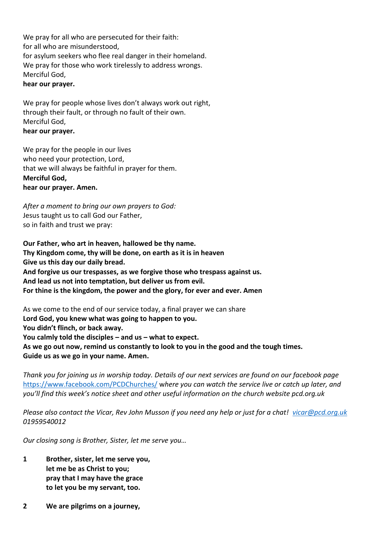We pray for all who are persecuted for their faith: for all who are misunderstood, for asylum seekers who flee real danger in their homeland. We pray for those who work tirelessly to address wrongs. Merciful God, **hear our prayer.**

We pray for people whose lives don't always work out right, through their fault, or through no fault of their own. Merciful God, **hear our prayer.**

We pray for the people in our lives who need your protection, Lord, that we will always be faithful in prayer for them. **Merciful God, hear our prayer. Amen.**

*After a moment to bring our own prayers to God:* Jesus taught us to call God our Father, so in faith and trust we pray:

**Our Father, who art in heaven, hallowed be thy name. Thy Kingdom come, thy will be done, on earth as it is in heaven Give us this day our daily bread. And forgive us our trespasses, as we forgive those who trespass against us. And lead us not into temptation, but deliver us from evil. For thine is the kingdom, the power and the glory, for ever and ever. Amen**

As we come to the end of our service today, a final prayer we can share **Lord God, you knew what was going to happen to you. You didn't flinch, or back away. You calmly told the disciples – and us – what to expect. As we go out now, remind us constantly to look to you in the good and the tough times. Guide us as we go in your name. Amen.**

*Thank you for joining us in worship today. Details of our next services are found on our facebook page*  <https://www.facebook.com/PCDChurches/> w*here you can watch the service live or catch up later, and you'll find this week's notice sheet and other useful information on the church website pcd.org.uk*

*Please also contact the Vicar, Rev John Musson if you need any help or just for a chat! [vicar@pcd.org.uk](mailto:vicar@pcd.org.uk) 01959540012*

*Our closing song is Brother, Sister, let me serve you…*

- **1 Brother, sister, let me serve you, let me be as Christ to you; pray that I may have the grace to let you be my servant, too.**
- **2 We are pilgrims on a journey,**